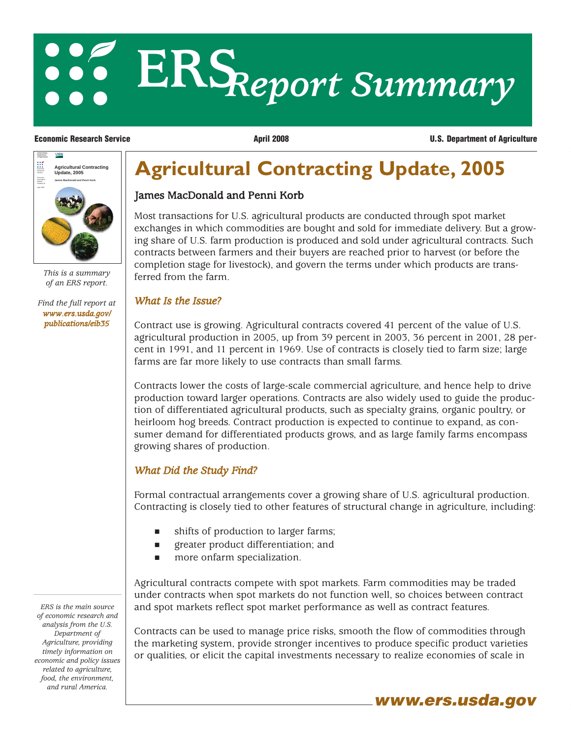# **ERS***Report Summary*

**Economic Research Service April 2008 U.S. Department of Agriculture**



*This is a summary of an ERS report.*

*[Find the full report at](/publications/eib35) www.ers.usda.gov/ publications/eib35*

## **Agricultural Contracting Update, 2005**

#### James MacDonald and Penni Korb

Most transactions for U.S. agricultural products are conducted through spot market exchanges in which commodities are bought and sold for immediate delivery. But a growing share of U.S. farm production is produced and sold under agricultural contracts. Such contracts between farmers and their buyers are reached prior to harvest (or before the completion stage for livestock), and govern the terms under which products are transferred from the farm.

#### *What Is the Issue?*

Contract use is growing. Agricultural contracts covered 41 percent of the value of U.S. agricultural production in 2005, up from 39 percent in 2003, 36 percent in 2001, 28 percent in 1991, and 11 percent in 1969. Use of contracts is closely tied to farm size; large farms are far more likely to use contracts than small farms.

Contracts lower the costs of large-scale commercial agriculture, and hence help to drive production toward larger operations. Contracts are also widely used to guide the production of differentiated agricultural products, such as specialty grains, organic poultry, or heirloom hog breeds. Contract production is expected to continue to expand, as consumer demand for differentiated products grows, and as large family farms encompass growing shares of production.

### *What Did the Study Find?*

Formal contractual arrangements cover a growing share of U.S. agricultural production. Contracting is closely tied to other features of structural change in agriculture, including:

- shifts of production to larger farms;
- greater product differentiation; and
- more onfarm specialization.

Agricultural contracts compete with spot markets. Farm commodities may be traded under contracts when spot markets do not function well, so choices between contract and spot markets reflect spot market performance as well as contract features.

Contracts can be used to manage price risks, smooth the flow of commodities through the marketing system, provide stronger incentives to produce specific product varieties or qualities, or elicit the capital investments necessary to realize economies of scale in

*ERS is the main source of economic research and analysis from the U.S. Department of Agriculture, providing timely information on economic and policy issues related to agriculture, food, the environment, and rural America.*

**www.ers.usda.gov**